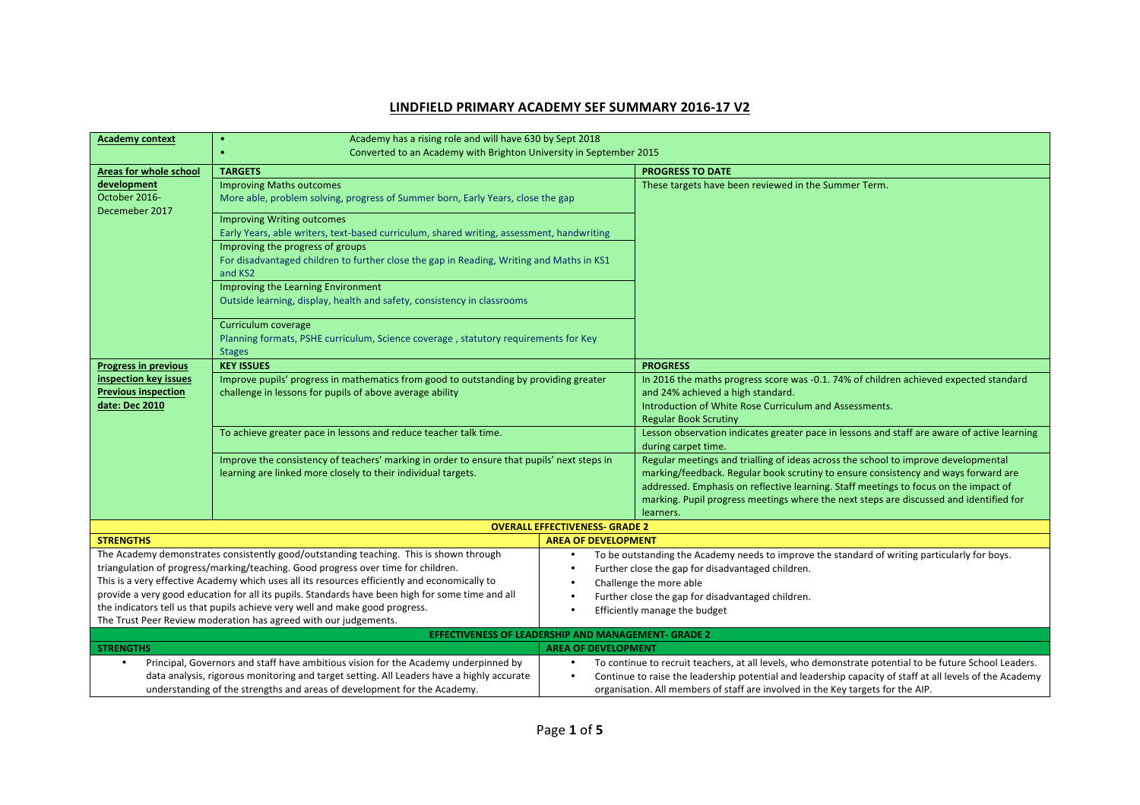## **LINDFIELD PRIMARY ACADEMY SEF SUMMARY 2016-17 V2**

| <b>Academy context</b>                                                                                                                                                             | Academy has a rising role and will have 630 by Sept 2018<br>$\bullet$                                                                             |                                       |                                                                                                                            |  |
|------------------------------------------------------------------------------------------------------------------------------------------------------------------------------------|---------------------------------------------------------------------------------------------------------------------------------------------------|---------------------------------------|----------------------------------------------------------------------------------------------------------------------------|--|
|                                                                                                                                                                                    | Converted to an Academy with Brighton University in September 2015                                                                                |                                       |                                                                                                                            |  |
|                                                                                                                                                                                    | <b>TARGETS</b>                                                                                                                                    |                                       | <b>PROGRESS TO DATE</b>                                                                                                    |  |
| <b>Areas for whole school</b><br>development                                                                                                                                       |                                                                                                                                                   |                                       |                                                                                                                            |  |
| October 2016-                                                                                                                                                                      | <b>Improving Maths outcomes</b>                                                                                                                   |                                       | These targets have been reviewed in the Summer Term.                                                                       |  |
| Decemeber 2017                                                                                                                                                                     | More able, problem solving, progress of Summer born, Early Years, close the gap<br><b>Improving Writing outcomes</b>                              |                                       |                                                                                                                            |  |
|                                                                                                                                                                                    |                                                                                                                                                   |                                       |                                                                                                                            |  |
|                                                                                                                                                                                    | Early Years, able writers, text-based curriculum, shared writing, assessment, handwriting                                                         |                                       |                                                                                                                            |  |
|                                                                                                                                                                                    | Improving the progress of groups                                                                                                                  |                                       |                                                                                                                            |  |
|                                                                                                                                                                                    | For disadvantaged children to further close the gap in Reading, Writing and Maths in KS1<br>and KS2                                               |                                       |                                                                                                                            |  |
|                                                                                                                                                                                    | Improving the Learning Environment                                                                                                                |                                       |                                                                                                                            |  |
|                                                                                                                                                                                    | Outside learning, display, health and safety, consistency in classrooms                                                                           |                                       |                                                                                                                            |  |
|                                                                                                                                                                                    | Curriculum coverage                                                                                                                               |                                       |                                                                                                                            |  |
| Planning formats, PSHE curriculum, Science coverage, statutory requirements for Key                                                                                                |                                                                                                                                                   |                                       |                                                                                                                            |  |
|                                                                                                                                                                                    | <b>Stages</b>                                                                                                                                     |                                       |                                                                                                                            |  |
| <b>Progress in previous</b>                                                                                                                                                        | <b>KEY ISSUES</b>                                                                                                                                 |                                       | <b>PROGRESS</b>                                                                                                            |  |
| inspection key issues<br><b>Previous inspection</b>                                                                                                                                | Improve pupils' progress in mathematics from good to outstanding by providing greater<br>challenge in lessons for pupils of above average ability |                                       | In 2016 the maths progress score was -0.1. 74% of children achieved expected standard<br>and 24% achieved a high standard. |  |
| date: Dec 2010                                                                                                                                                                     |                                                                                                                                                   |                                       | Introduction of White Rose Curriculum and Assessments.                                                                     |  |
|                                                                                                                                                                                    |                                                                                                                                                   |                                       | <b>Regular Book Scrutiny</b>                                                                                               |  |
|                                                                                                                                                                                    | To achieve greater pace in lessons and reduce teacher talk time.                                                                                  |                                       | Lesson observation indicates greater pace in lessons and staff are aware of active learning                                |  |
|                                                                                                                                                                                    |                                                                                                                                                   |                                       | during carpet time.                                                                                                        |  |
|                                                                                                                                                                                    | Improve the consistency of teachers' marking in order to ensure that pupils' next steps in                                                        |                                       | Regular meetings and trialling of ideas across the school to improve developmental                                         |  |
|                                                                                                                                                                                    | learning are linked more closely to their individual targets.                                                                                     |                                       | marking/feedback. Regular book scrutiny to ensure consistency and ways forward are                                         |  |
|                                                                                                                                                                                    |                                                                                                                                                   |                                       | addressed. Emphasis on reflective learning. Staff meetings to focus on the impact of                                       |  |
|                                                                                                                                                                                    |                                                                                                                                                   |                                       | marking. Pupil progress meetings where the next steps are discussed and identified for                                     |  |
|                                                                                                                                                                                    |                                                                                                                                                   |                                       | learners.                                                                                                                  |  |
|                                                                                                                                                                                    |                                                                                                                                                   | <b>OVERALL EFFECTIVENESS- GRADE 2</b> |                                                                                                                            |  |
| <b>STRENGTHS</b>                                                                                                                                                                   |                                                                                                                                                   | <b>AREA OF DEVELOPMENT</b>            |                                                                                                                            |  |
|                                                                                                                                                                                    | The Academy demonstrates consistently good/outstanding teaching. This is shown through                                                            |                                       | To be outstanding the Academy needs to improve the standard of writing particularly for boys.                              |  |
| triangulation of progress/marking/teaching. Good progress over time for children.<br>This is a very effective Academy which uses all its resources efficiently and economically to |                                                                                                                                                   |                                       | Further close the gap for disadvantaged children.                                                                          |  |
|                                                                                                                                                                                    |                                                                                                                                                   |                                       | Challenge the more able                                                                                                    |  |
| provide a very good education for all its pupils. Standards have been high for some time and all<br>the indicators tell us that pupils achieve very well and make good progress.   |                                                                                                                                                   |                                       | Further close the gap for disadvantaged children.                                                                          |  |
| The Trust Peer Review moderation has agreed with our judgements.                                                                                                                   |                                                                                                                                                   |                                       | Efficiently manage the budget                                                                                              |  |
| <b>EFFECTIVENESS OF LEADERSHIP AND MANAGEMENT- GRADE 2</b>                                                                                                                         |                                                                                                                                                   |                                       |                                                                                                                            |  |
| <b>STRENGTHS</b><br><b>AREA OF DEVELOPMENT</b>                                                                                                                                     |                                                                                                                                                   |                                       |                                                                                                                            |  |
| Principal, Governors and staff have ambitious vision for the Academy underpinned by                                                                                                |                                                                                                                                                   |                                       | To continue to recruit teachers, at all levels, who demonstrate potential to be future School Leaders.                     |  |
| data analysis, rigorous monitoring and target setting. All Leaders have a highly accurate                                                                                          |                                                                                                                                                   |                                       | Continue to raise the leadership potential and leadership capacity of staff at all levels of the Academy                   |  |
|                                                                                                                                                                                    | understanding of the strengths and areas of development for the Academy.                                                                          |                                       | organisation. All members of staff are involved in the Key targets for the AIP.                                            |  |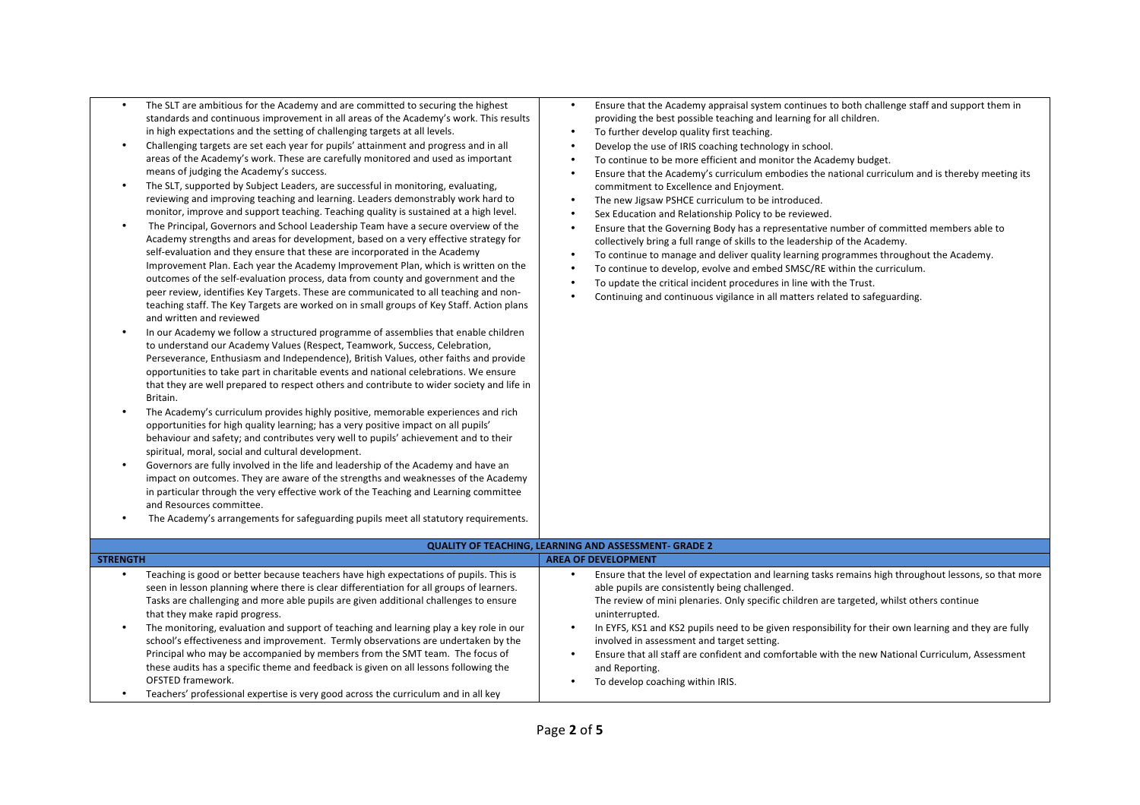- The SLT are ambitious for the Academy and are committed to securing the highest standards and continuous improvement in all areas of the Academy's work. This results in high expectations and the setting of challenging targets at all levels.
- Challenging targets are set each year for pupils' attainment and progress and in all areas of the Academy's work. These are carefully monitored and used as important means of judging the Academy's success.
- The SLT, supported by Subject Leaders, are successful in monitoring, evaluating, reviewing and improving teaching and learning. Leaders demonstrably work hard to monitor, improve and support teaching. Teaching quality is sustained at a high level.
- The Principal, Governors and School Leadership Team have a secure overview of the Academy strengths and areas for development, based on a very effective strategy for self-evaluation and they ensure that these are incorporated in the Academy Improvement Plan. Each year the Academy Improvement Plan, which is written on the outcomes of the self-evaluation process, data from county and government and the peer review, identifies Key Targets. These are communicated to all teaching and nonteaching staff. The Key Targets are worked on in small groups of Key Staff. Action plans and written and reviewed
- In our Academy we follow a structured programme of assemblies that enable children to understand our Academy Values (Respect, Teamwork, Success, Celebration, Perseverance, Enthusiasm and Independence), British Values, other faiths and provide opportunities to take part in charitable events and national celebrations. We ensure that they are well prepared to respect others and contribute to wider society and life in Britain.
- The Academy's curriculum provides highly positive, memorable experiences and rich opportunities for high quality learning; has a very positive impact on all pupils' behaviour and safety; and contributes very well to pupils' achievement and to their spiritual, moral, social and cultural development.
- Governors are fully involved in the life and leadership of the Academy and have an impact on outcomes. They are aware of the strengths and weaknesses of the Academy in particular through the very effective work of the Teaching and Learning committee and Resources committee.
- The Academy's arrangements for safeguarding pupils meet all statutory requirements.
- Ensure that the Academy appraisal system continues to both challenge staff and support them in providing the best possible teaching and learning for all children.
- To further develop quality first teaching.
- Develop the use of IRIS coaching technology in school.
- To continue to be more efficient and monitor the Academy budget.
- Ensure that the Academy's curriculum embodies the national curriculum and is thereby meeting its commitment to Excellence and Enjoyment.
- The new Jigsaw PSHCE curriculum to be introduced.
- Sex Education and Relationship Policy to be reviewed.
- Ensure that the Governing Body has a representative number of committed members able to collectively bring a full range of skills to the leadership of the Academy.
- To continue to manage and deliver quality learning programmes throughout the Academy.
- To continue to develop, evolve and embed SMSC/RE within the curriculum.
- To update the critical incident procedures in line with the Trust.
- Continuing and continuous vigilance in all matters related to safeguarding.

| <b>QUALITY OF TEACHING, LEARNING AND ASSESSMENT- GRADE 2</b> |                                                                                                                                                                                                                                                                                                                                                                                                                                                                                                                                                                                                                                                                                                                                                                                     |                                                                                                                                                                                                                                                                                                                                                                                                                                                                                                                                                                                         |  |
|--------------------------------------------------------------|-------------------------------------------------------------------------------------------------------------------------------------------------------------------------------------------------------------------------------------------------------------------------------------------------------------------------------------------------------------------------------------------------------------------------------------------------------------------------------------------------------------------------------------------------------------------------------------------------------------------------------------------------------------------------------------------------------------------------------------------------------------------------------------|-----------------------------------------------------------------------------------------------------------------------------------------------------------------------------------------------------------------------------------------------------------------------------------------------------------------------------------------------------------------------------------------------------------------------------------------------------------------------------------------------------------------------------------------------------------------------------------------|--|
| <b>STRENGTH</b>                                              |                                                                                                                                                                                                                                                                                                                                                                                                                                                                                                                                                                                                                                                                                                                                                                                     | <b>AREA OF DEVELOPMENT</b>                                                                                                                                                                                                                                                                                                                                                                                                                                                                                                                                                              |  |
|                                                              | Teaching is good or better because teachers have high expectations of pupils. This is<br>seen in lesson planning where there is clear differentiation for all groups of learners.<br>Tasks are challenging and more able pupils are given additional challenges to ensure<br>that they make rapid progress.<br>The monitoring, evaluation and support of teaching and learning play a key role in our<br>school's effectiveness and improvement. Termly observations are undertaken by the<br>Principal who may be accompanied by members from the SMT team. The focus of<br>these audits has a specific theme and feedback is given on all lessons following the<br><b>OFSTED framework.</b><br>Teachers' professional expertise is very good across the curriculum and in all key | Ensure that the level of expectation and learning tasks remains high throughout lessons, so that more<br>able pupils are consistently being challenged.<br>The review of mini plenaries. Only specific children are targeted, whilst others continue<br>uninterrupted.<br>In EYFS, KS1 and KS2 pupils need to be given responsibility for their own learning and they are fully<br>involved in assessment and target setting.<br>Ensure that all staff are confident and comfortable with the new National Curriculum, Assessment<br>and Reporting.<br>To develop coaching within IRIS. |  |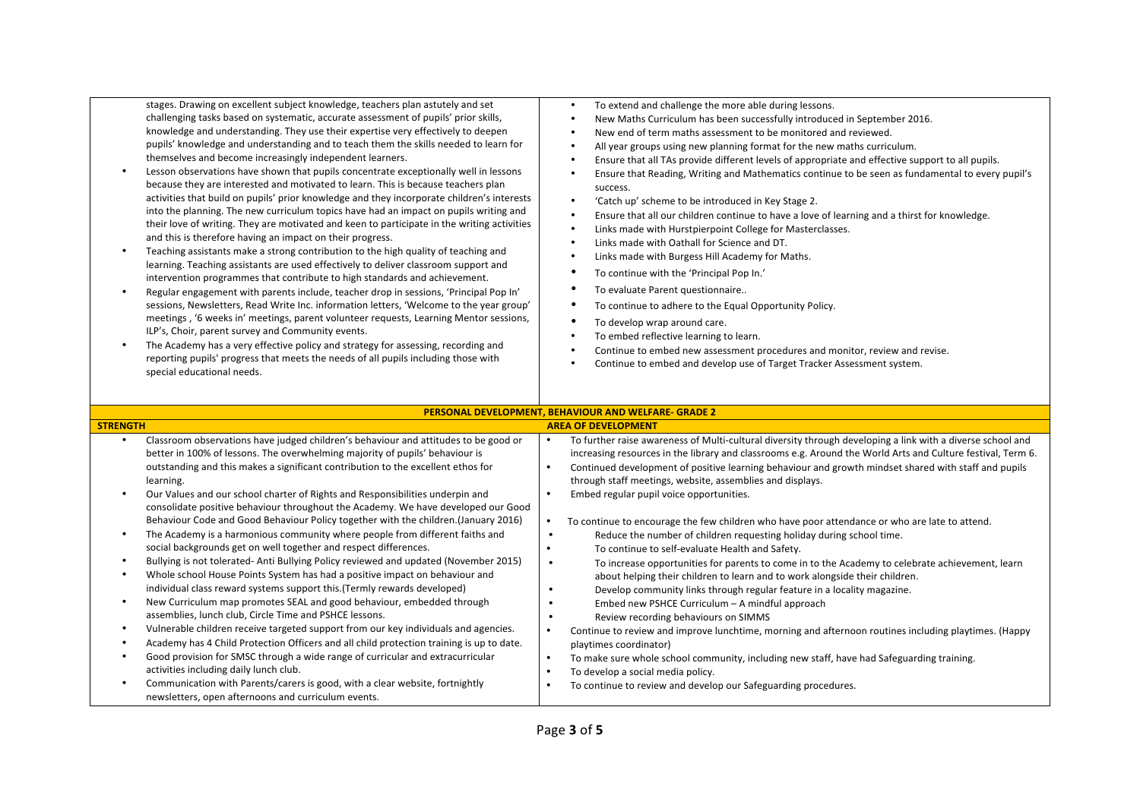stages. Drawing on excellent subject knowledge, teachers plan astutely and set challenging tasks based on systematic, accurate assessment of pupils' prior skills, knowledge and understanding. They use their expertise very effectively to deepen pupils' knowledge and understanding and to teach them the skills needed to learn for themselves and become increasingly independent learners.

- Lesson observations have shown that pupils concentrate exceptionally well in lessons because they are interested and motivated to learn. This is because teachers plan activities that build on pupils' prior knowledge and they incorporate children's interests into the planning. The new curriculum topics have had an impact on pupils writing and their love of writing. They are motivated and keen to participate in the writing activities and this is therefore having an impact on their progress.
- Teaching assistants make a strong contribution to the high quality of teaching and learning. Teaching assistants are used effectively to deliver classroom support and intervention programmes that contribute to high standards and achievement.
- Regular engagement with parents include, teacher drop in sessions, 'Principal Pop In' sessions, Newsletters, Read Write Inc. information letters, 'Welcome to the year group' meetings, '6 weeks in' meetings, parent volunteer requests, Learning Mentor sessions, ILP's, Choir, parent survey and Community events.
- The Academy has a very effective policy and strategy for assessing, recording and reporting pupils' progress that meets the needs of all pupils including those with special educational needs.
- To extend and challenge the more able during lessons.
- New Maths Curriculum has been successfully introduced in September 2016.
- New end of term maths assessment to be monitored and reviewed.
- All year groups using new planning format for the new maths curriculum.
- Ensure that all TAs provide different levels of appropriate and effective support to all pupils.
- Ensure that Reading, Writing and Mathematics continue to be seen as fundamental to every pupil's success.
- 'Catch up' scheme to be introduced in Key Stage 2.
- Ensure that all our children continue to have a love of learning and a thirst for knowledge.
- Links made with Hurstpierpoint College for Masterclasses.
- Links made with Oathall for Science and DT.
- Links made with Burgess Hill Academy for Maths.
- To continue with the 'Principal Pop In.'
- To evaluate Parent questionnaire..
- To continue to adhere to the Equal Opportunity Policy.
- To develop wrap around care.
- To embed reflective learning to learn.
- Continue to embed new assessment procedures and monitor, review and revise.
- Continue to embed and develop use of Target Tracker Assessment system.

| PERSONAL DEVELOPMENT, BEHAVIOUR AND WELFARE- GRADE 2 |                                                                                                                                                                     |           |                                                                                                                                                                                                                           |  |
|------------------------------------------------------|---------------------------------------------------------------------------------------------------------------------------------------------------------------------|-----------|---------------------------------------------------------------------------------------------------------------------------------------------------------------------------------------------------------------------------|--|
| <b>STRENGTH</b>                                      |                                                                                                                                                                     |           | <b>AREA OF DEVELOPMENT</b>                                                                                                                                                                                                |  |
|                                                      | Classroom observations have judged children's behaviour and attitudes to be good or<br>better in 100% of lessons. The overwhelming majority of pupils' behaviour is |           | To further raise awareness of Multi-cultural diversity through developing a link with a diverse school and<br>increasing resources in the library and classrooms e.g. Around the World Arts and Culture festival, Term 6. |  |
|                                                      | outstanding and this makes a significant contribution to the excellent ethos for<br>learning.                                                                       | $\bullet$ | Continued development of positive learning behaviour and growth mindset shared with staff and pupils<br>through staff meetings, website, assemblies and displays.                                                         |  |
|                                                      | Our Values and our school charter of Rights and Responsibilities underpin and<br>consolidate positive behaviour throughout the Academy. We have developed our Good  |           | Embed regular pupil voice opportunities.                                                                                                                                                                                  |  |
|                                                      | Behaviour Code and Good Behaviour Policy together with the children. (January 2016)                                                                                 |           | To continue to encourage the few children who have poor attendance or who are late to attend.                                                                                                                             |  |
|                                                      | The Academy is a harmonious community where people from different faiths and                                                                                        | $\bullet$ | Reduce the number of children requesting holiday during school time.                                                                                                                                                      |  |
|                                                      | social backgrounds get on well together and respect differences.                                                                                                    | $\bullet$ | To continue to self-evaluate Health and Safety.                                                                                                                                                                           |  |
|                                                      | Bullying is not tolerated-Anti Bullying Policy reviewed and updated (November 2015)                                                                                 | $\bullet$ | To increase opportunities for parents to come in to the Academy to celebrate achievement, learn                                                                                                                           |  |
|                                                      | Whole school House Points System has had a positive impact on behaviour and                                                                                         |           | about helping their children to learn and to work alongside their children.                                                                                                                                               |  |
|                                                      | individual class reward systems support this. (Termly rewards developed)                                                                                            | $\bullet$ | Develop community links through regular feature in a locality magazine.                                                                                                                                                   |  |
|                                                      | New Curriculum map promotes SEAL and good behaviour, embedded through                                                                                               | ٠         | Embed new PSHCE Curriculum - A mindful approach                                                                                                                                                                           |  |
|                                                      | assemblies, lunch club, Circle Time and PSHCE lessons.                                                                                                              | ٠         | Review recording behaviours on SIMMS                                                                                                                                                                                      |  |
|                                                      | Vulnerable children receive targeted support from our key individuals and agencies.                                                                                 |           | Continue to review and improve lunchtime, morning and afternoon routines including playtimes. (Happy                                                                                                                      |  |
|                                                      | Academy has 4 Child Protection Officers and all child protection training is up to date.                                                                            |           | playtimes coordinator)                                                                                                                                                                                                    |  |
|                                                      | Good provision for SMSC through a wide range of curricular and extracurricular<br>activities including daily lunch club.                                            | $\bullet$ | To make sure whole school community, including new staff, have had Safeguarding training.<br>To develop a social media policy.                                                                                            |  |
|                                                      | Communication with Parents/carers is good, with a clear website, fortnightly<br>newsletters, open afternoons and curriculum events.                                 |           | To continue to review and develop our Safeguarding procedures.                                                                                                                                                            |  |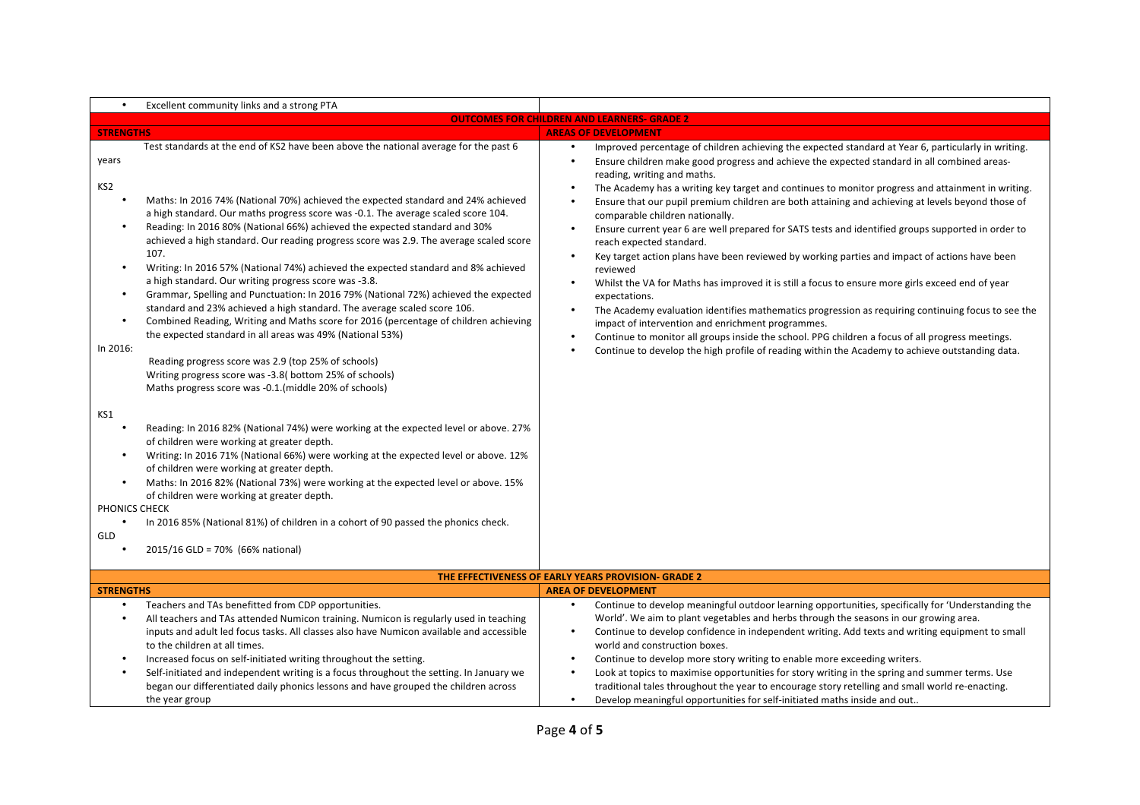| $\bullet$                                                                   | Excellent community links and a strong PTA                                                                                                                                                                                                                                                                                                                                                                                                                                                                                                                                                                                                                                                                                                                                                                                                                                                                                                                                                                                                                                                       |                                                                                                                                                                                                                                                                                                                                                                                                                                                                                                                                                                                                                                                                                                                                                                                                                                                                                                                                                                                                                                                                                                                                                                                                                      |  |  |  |  |  |
|-----------------------------------------------------------------------------|--------------------------------------------------------------------------------------------------------------------------------------------------------------------------------------------------------------------------------------------------------------------------------------------------------------------------------------------------------------------------------------------------------------------------------------------------------------------------------------------------------------------------------------------------------------------------------------------------------------------------------------------------------------------------------------------------------------------------------------------------------------------------------------------------------------------------------------------------------------------------------------------------------------------------------------------------------------------------------------------------------------------------------------------------------------------------------------------------|----------------------------------------------------------------------------------------------------------------------------------------------------------------------------------------------------------------------------------------------------------------------------------------------------------------------------------------------------------------------------------------------------------------------------------------------------------------------------------------------------------------------------------------------------------------------------------------------------------------------------------------------------------------------------------------------------------------------------------------------------------------------------------------------------------------------------------------------------------------------------------------------------------------------------------------------------------------------------------------------------------------------------------------------------------------------------------------------------------------------------------------------------------------------------------------------------------------------|--|--|--|--|--|
|                                                                             | <b>OUTCOMES FOR CHILDREN AND LEARNERS- GRADE 2</b>                                                                                                                                                                                                                                                                                                                                                                                                                                                                                                                                                                                                                                                                                                                                                                                                                                                                                                                                                                                                                                               |                                                                                                                                                                                                                                                                                                                                                                                                                                                                                                                                                                                                                                                                                                                                                                                                                                                                                                                                                                                                                                                                                                                                                                                                                      |  |  |  |  |  |
| <b>STRENGTHS</b>                                                            |                                                                                                                                                                                                                                                                                                                                                                                                                                                                                                                                                                                                                                                                                                                                                                                                                                                                                                                                                                                                                                                                                                  | <b>AREAS OF DEVELOPMENT</b>                                                                                                                                                                                                                                                                                                                                                                                                                                                                                                                                                                                                                                                                                                                                                                                                                                                                                                                                                                                                                                                                                                                                                                                          |  |  |  |  |  |
| years<br>KS <sub>2</sub><br>$\bullet$<br>$\bullet$<br>$\bullet$<br>In 2016: | Test standards at the end of KS2 have been above the national average for the past 6<br>Maths: In 2016 74% (National 70%) achieved the expected standard and 24% achieved<br>a high standard. Our maths progress score was -0.1. The average scaled score 104.<br>Reading: In 2016 80% (National 66%) achieved the expected standard and 30%<br>achieved a high standard. Our reading progress score was 2.9. The average scaled score<br>107.<br>Writing: In 2016 57% (National 74%) achieved the expected standard and 8% achieved<br>a high standard. Our writing progress score was -3.8.<br>Grammar, Spelling and Punctuation: In 2016 79% (National 72%) achieved the expected<br>standard and 23% achieved a high standard. The average scaled score 106.<br>Combined Reading, Writing and Maths score for 2016 (percentage of children achieving<br>the expected standard in all areas was 49% (National 53%)<br>Reading progress score was 2.9 (top 25% of schools)<br>Writing progress score was -3.8(bottom 25% of schools)<br>Maths progress score was -0.1. (middle 20% of schools) | Improved percentage of children achieving the expected standard at Year 6, particularly in writing.<br>Ensure children make good progress and achieve the expected standard in all combined areas-<br>reading, writing and maths.<br>The Academy has a writing key target and continues to monitor progress and attainment in writing.<br>Ensure that our pupil premium children are both attaining and achieving at levels beyond those of<br>comparable children nationally.<br>Ensure current year 6 are well prepared for SATS tests and identified groups supported in order to<br>reach expected standard.<br>Key target action plans have been reviewed by working parties and impact of actions have been<br>reviewed<br>Whilst the VA for Maths has improved it is still a focus to ensure more girls exceed end of year<br>expectations.<br>The Academy evaluation identifies mathematics progression as requiring continuing focus to see the<br>impact of intervention and enrichment programmes.<br>Continue to monitor all groups inside the school. PPG children a focus of all progress meetings.<br>Continue to develop the high profile of reading within the Academy to achieve outstanding data. |  |  |  |  |  |
| KS1<br>$\bullet$<br>$\bullet$<br>PHONICS CHECK<br>GLD                       | Reading: In 2016 82% (National 74%) were working at the expected level or above. 27%<br>of children were working at greater depth.<br>Writing: In 2016 71% (National 66%) were working at the expected level or above. 12%<br>of children were working at greater depth.<br>Maths: In 2016 82% (National 73%) were working at the expected level or above. 15%<br>of children were working at greater depth.<br>In 2016 85% (National 81%) of children in a cohort of 90 passed the phonics check.<br>2015/16 GLD = 70% (66% national)                                                                                                                                                                                                                                                                                                                                                                                                                                                                                                                                                           |                                                                                                                                                                                                                                                                                                                                                                                                                                                                                                                                                                                                                                                                                                                                                                                                                                                                                                                                                                                                                                                                                                                                                                                                                      |  |  |  |  |  |
|                                                                             |                                                                                                                                                                                                                                                                                                                                                                                                                                                                                                                                                                                                                                                                                                                                                                                                                                                                                                                                                                                                                                                                                                  | THE EFFECTIVENESS OF EARLY YEARS PROVISION- GRADE 2                                                                                                                                                                                                                                                                                                                                                                                                                                                                                                                                                                                                                                                                                                                                                                                                                                                                                                                                                                                                                                                                                                                                                                  |  |  |  |  |  |
| <b>STRENGTHS</b>                                                            |                                                                                                                                                                                                                                                                                                                                                                                                                                                                                                                                                                                                                                                                                                                                                                                                                                                                                                                                                                                                                                                                                                  | <b>AREA OF DEVELOPMENT</b>                                                                                                                                                                                                                                                                                                                                                                                                                                                                                                                                                                                                                                                                                                                                                                                                                                                                                                                                                                                                                                                                                                                                                                                           |  |  |  |  |  |
| $\bullet$                                                                   | Teachers and TAs benefitted from CDP opportunities.<br>All teachers and TAs attended Numicon training. Numicon is regularly used in teaching<br>inputs and adult led focus tasks. All classes also have Numicon available and accessible<br>to the children at all times.<br>Increased focus on self-initiated writing throughout the setting.<br>Self-initiated and independent writing is a focus throughout the setting. In January we<br>began our differentiated daily phonics lessons and have grouped the children across<br>the year group                                                                                                                                                                                                                                                                                                                                                                                                                                                                                                                                               | Continue to develop meaningful outdoor learning opportunities, specifically for 'Understanding the<br>World'. We aim to plant vegetables and herbs through the seasons in our growing area.<br>Continue to develop confidence in independent writing. Add texts and writing equipment to small<br>world and construction boxes.<br>Continue to develop more story writing to enable more exceeding writers.<br>Look at topics to maximise opportunities for story writing in the spring and summer terms. Use<br>traditional tales throughout the year to encourage story retelling and small world re-enacting.<br>Develop meaningful opportunities for self-initiated maths inside and out                                                                                                                                                                                                                                                                                                                                                                                                                                                                                                                         |  |  |  |  |  |